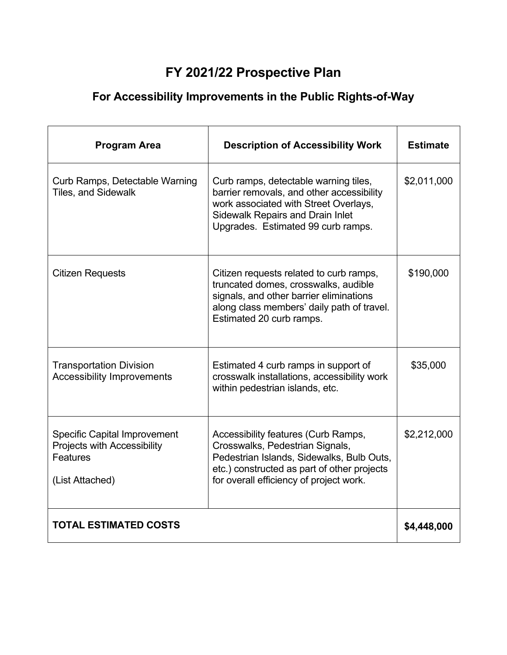## **FY 2021/22 Prospective Plan**

## **For Accessibility Improvements in the Public Rights-of-Way**

| <b>Program Area</b>                                                                               | <b>Description of Accessibility Work</b>                                                                                                                                                                      | <b>Estimate</b> |
|---------------------------------------------------------------------------------------------------|---------------------------------------------------------------------------------------------------------------------------------------------------------------------------------------------------------------|-----------------|
| Curb Ramps, Detectable Warning<br><b>Tiles, and Sidewalk</b>                                      | Curb ramps, detectable warning tiles,<br>barrier removals, and other accessibility<br>work associated with Street Overlays,<br><b>Sidewalk Repairs and Drain Inlet</b><br>Upgrades. Estimated 99 curb ramps.  | \$2,011,000     |
| <b>Citizen Requests</b>                                                                           | Citizen requests related to curb ramps,<br>truncated domes, crosswalks, audible<br>signals, and other barrier eliminations<br>along class members' daily path of travel.<br>Estimated 20 curb ramps.          | \$190,000       |
| <b>Transportation Division</b><br><b>Accessibility Improvements</b>                               | Estimated 4 curb ramps in support of<br>crosswalk installations, accessibility work<br>within pedestrian islands, etc.                                                                                        | \$35,000        |
| <b>Specific Capital Improvement</b><br>Projects with Accessibility<br>Features<br>(List Attached) | Accessibility features (Curb Ramps,<br>Crosswalks, Pedestrian Signals,<br>Pedestrian Islands, Sidewalks, Bulb Outs,<br>etc.) constructed as part of other projects<br>for overall efficiency of project work. | \$2,212,000     |
| <b>TOTAL ESTIMATED COSTS</b>                                                                      | \$4,448,000                                                                                                                                                                                                   |                 |